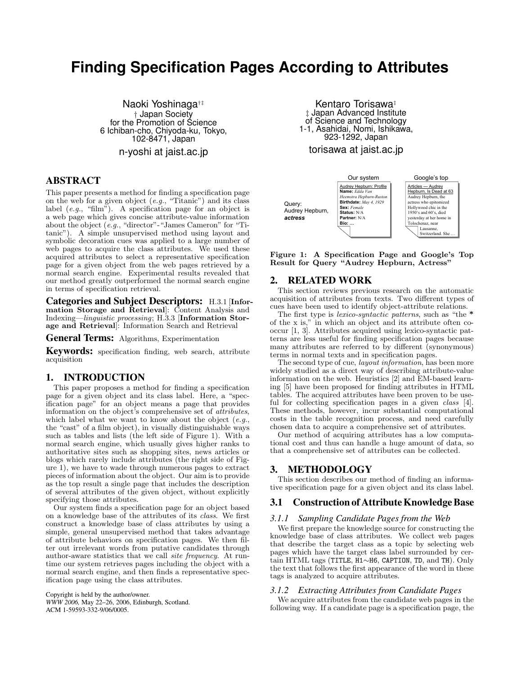# **Finding Specification Pages According to Attributes**

Naoki Yoshinaga†‡ † Japan Society for the Promotion of Science 6 Ichiban-cho, Chiyoda-ku, Tokyo, 102-8471, Japan

n-yoshi at jaist.ac.jp

# ABSTRACT

This paper presents a method for finding a specification page on the web for a given object (*e.g.*, "Titanic") and its class label (*e.g.*, "film"). A specification page for an object is a web page which gives concise attribute-value information about the object (*e.g.*, "director"-"James Cameron" for "Titanic"). A simple unsupervised method using layout and symbolic decoration cues was applied to a large number of web pages to acquire the class attributes. We used these acquired attributes to select a representative specification page for a given object from the web pages retrieved by a normal search engine. Experimental results revealed that our method greatly outperformed the normal search engine in terms of specification retrieval.

Categories and Subject Descriptors: H.3.1 [**Information Storage and Retrieval**]: Content Analysis and Indexing—*linguistic processing*; H.3.3 [**Information Storage and Retrieval**]: Information Search and Retrieval

General Terms: Algorithms, Experimentation

Keywords: specification finding, web search, attribute acquisition

# 1. INTRODUCTION

This paper proposes a method for finding a specification page for a given object and its class label. Here, a "specification page" for an object means a page that provides information on the object's comprehensive set of *attributes*, which label what we want to know about the object (*e.g.*, the "cast" of a film object), in visually distinguishable ways such as tables and lists (the left side of Figure 1). With a normal search engine, which usually gives higher ranks to authoritative sites such as shopping sites, news articles or blogs which rarely include attributes (the right side of Figure 1), we have to wade through numerous pages to extract pieces of information about the object. Our aim is to provide as the top result a single page that includes the description of several attributes of the given object, without explicitly specifying those attributes.

Our system finds a specification page for an object based on a knowledge base of the attributes of its *class*. We first construct a knowledge base of class attributes by using a simple, general unsupervised method that takes advantage of attribute behaviors on specification pages. We then filter out irrelevant words from putative candidates through author-aware statistics that we call *site frequency*. At runtime our system retrieves pages including the object with a normal search engine, and then finds a representative specification page using the class attributes.

Copyright is held by the author/owner. *WWW 2006,* May 22–26, 2006, Edinburgh, Scotland. ACM 1-59593-332-9/06/0005.

Kentaro Torisawa‡ ‡ Japan Advanced Institute of Science and Technology 1-1, Asahidai, Nomi, Ishikawa, 923-1292, Japan

# torisawa at jaist.ac.jp



**Figure 1: A Specification Page and Google's Top Result for Query "Audrey Hepburn, Actress"**

## 2. RELATED WORK

This section reviews previous research on the automatic acquisition of attributes from texts. Two different types of cues have been used to identify object-attribute relations.<br>The first type is *lexico-syntactic patterns*, such as "the "

The first type is *lexico-syntactic patterns*, such as "the  $*$  of the x is," in which an object and its attribute often cooccur [1, 3]. Attributes acquired using lexico-syntactic patterns are less useful for finding specification pages because many attributes are referred to by different (synonymous) terms in normal texts and in specification pages.

The second type of cue, *layout information*, has been more widely studied as a direct way of describing attribute-value information on the web. Heuristics [2] and EM-based learning [5] have been proposed for finding attributes in HTML tables. The acquired attributes have been proven to be useful for collecting specification pages in a given *class* [4]. These methods, however, incur substantial computational costs in the table recognition process, and need carefully chosen data to acquire a comprehensive set of attributes.

Our method of acquiring attributes has a low computational cost and thus can handle a huge amount of data, so that a comprehensive set of attributes can be collected.

## 3. METHODOLOGY

This section describes our method of finding an informative specification page for a given object and its class label.

## 3.1 Construction of Attribute Knowledge Base

#### *3.1.1 Sampling Candidate Pages from the Web*

We first prepare the knowledge source for constructing the knowledge base of class attributes. We collect web pages that describe the target class as a topic by selecting web pages which have the target class label surrounded by certain HTML tags (TITLE, H1∼H6, CAPTION, TD, and TH). Only the text that follows the first appearance of the word in these tags is analyzed to acquire attributes.

#### *3.1.2 Extracting Attributes from Candidate Pages*

We acquire attributes from the candidate web pages in the following way. If a candidate page is a specification page, the